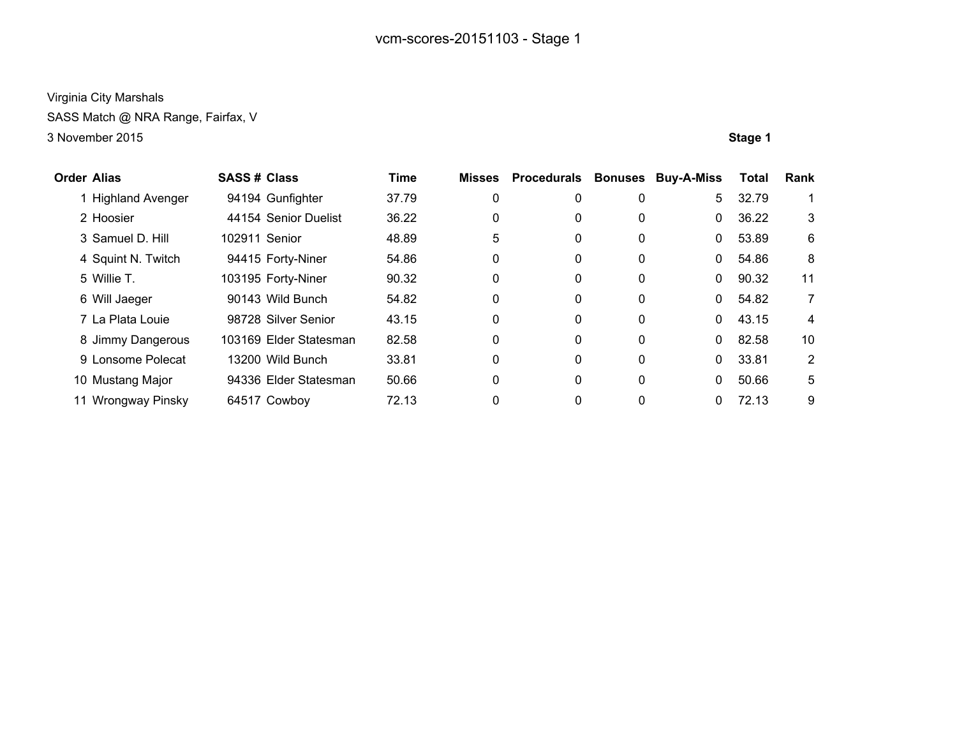SASS Match @ NRA Range, Fairfax, V

| <b>Order Alias</b> |                         | <b>SASS# Class</b> |                        | <b>Time</b> | <b>Misses</b> | <b>Procedurals Bonuses</b> |              | <b>Buy-A-Miss</b> | <b>Total</b> | Rank |
|--------------------|-------------------------|--------------------|------------------------|-------------|---------------|----------------------------|--------------|-------------------|--------------|------|
|                    | <b>Highland Avenger</b> |                    | 94194 Gunfighter       | 37.79       | 0             | 0                          | 0            | 5                 | 32.79        |      |
|                    | 2 Hoosier               |                    | 44154 Senior Duelist   | 36.22       | 0             | 0                          | 0            | $\mathbf{0}$      | 36.22        | 3    |
|                    | 3 Samuel D. Hill        | 102911 Senior      |                        | 48.89       | 5             | 0                          | 0            | $\Omega$          | 53.89        | 6    |
|                    | 4 Squint N. Twitch      |                    | 94415 Forty-Niner      | 54.86       | 0             | 0                          | 0            | $\Omega$          | 54.86        | 8    |
|                    | 5 Willie T.             |                    | 103195 Forty-Niner     | 90.32       | 0             | 0                          | 0            | $\mathbf{0}$      | 90.32        | 11   |
|                    | 6 Will Jaeger           |                    | 90143 Wild Bunch       | 54.82       | 0             | 0                          | $\mathbf{0}$ | $\mathbf{0}$      | 54.82        | 7    |
|                    | 7 La Plata Louie        |                    | 98728 Silver Senior    | 43.15       | 0             | 0                          | 0            | $\Omega$          | 43.15        | 4    |
|                    | 8 Jimmy Dangerous       |                    | 103169 Elder Statesman | 82.58       | 0             | 0                          | $\mathbf{0}$ | $\Omega$          | 82.58        | 10   |
|                    | 9 Lonsome Polecat       |                    | 13200 Wild Bunch       | 33.81       | 0             | 0                          | $\mathbf{0}$ | $\Omega$          | 33.81        | 2    |
|                    | 10 Mustang Major        |                    | 94336 Elder Statesman  | 50.66       | 0             | 0                          | 0            | $\mathbf{0}$      | 50.66        | 5    |
| 11                 | Wrongway Pinsky         |                    | 64517 Cowboy           | 72.13       | 0             | 0                          | 0            | $\Omega$          | 72.13        | 9    |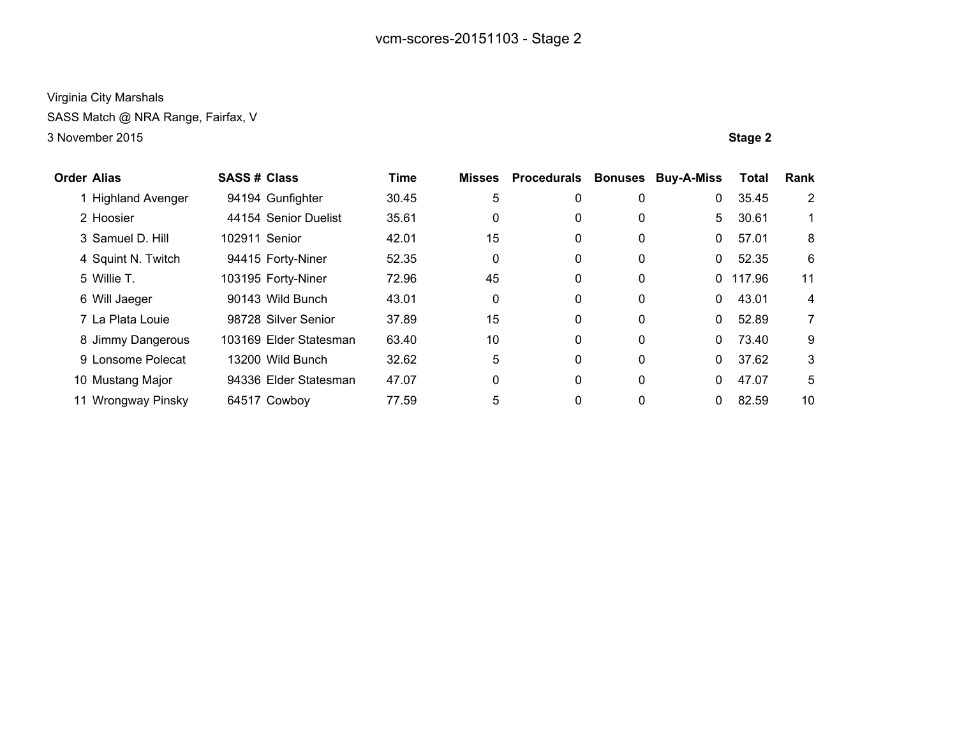SASS Match @ NRA Range, Fairfax, V

| <b>Order Alias</b> |                    | <b>SASS# Class</b> |                        | <b>Time</b> | <b>Misses</b> | <b>Procedurals</b> | <b>Bonuses</b> | <b>Buy-A-Miss</b> | <b>Total</b> | <b>Rank</b>    |
|--------------------|--------------------|--------------------|------------------------|-------------|---------------|--------------------|----------------|-------------------|--------------|----------------|
|                    | 1 Highland Avenger |                    | 94194 Gunfighter       | 30.45       | 5             | 0                  | 0              | 0                 | 35.45        | 2              |
|                    | 2 Hoosier          |                    | 44154 Senior Duelist   | 35.61       | 0             | 0                  | 0              | 5                 | 30.61        | 1.             |
|                    | 3 Samuel D. Hill   | 102911 Senior      |                        | 42.01       | 15            | 0                  | 0              | 0                 | 57.01        | 8              |
|                    | 4 Squint N. Twitch |                    | 94415 Forty-Niner      | 52.35       | 0             | 0                  | 0              | 0                 | 52.35        | 6              |
|                    | 5 Willie T.        |                    | 103195 Forty-Niner     | 72.96       | 45            | $\mathbf{0}$       | 0              |                   | 0 117.96     | 11             |
|                    | 6 Will Jaeger      |                    | 90143 Wild Bunch       | 43.01       | $\mathbf{0}$  | $\mathbf{0}$       | 0              | 0                 | 43.01        | 4              |
|                    | 7 La Plata Louie   |                    | 98728 Silver Senior    | 37.89       | 15            | $\mathbf{0}$       | 0              | 0                 | 52.89        | $\overline{7}$ |
|                    | 8 Jimmy Dangerous  |                    | 103169 Elder Statesman | 63.40       | 10            | $\mathbf{0}$       | 0              | 0                 | 73.40        | 9              |
|                    | 9 Lonsome Polecat  |                    | 13200 Wild Bunch       | 32.62       | 5             | 0                  | 0              | $\Omega$          | 37.62        | 3              |
|                    | 10 Mustang Major   |                    | 94336 Elder Statesman  | 47.07       | 0             | $\mathbf{0}$       | 0              | 0                 | 47.07        | 5              |
|                    | 11 Wrongway Pinsky |                    | 64517 Cowboy           | 77.59       | 5             | $\mathbf{0}$       | 0              | 0                 | 82.59        | 10             |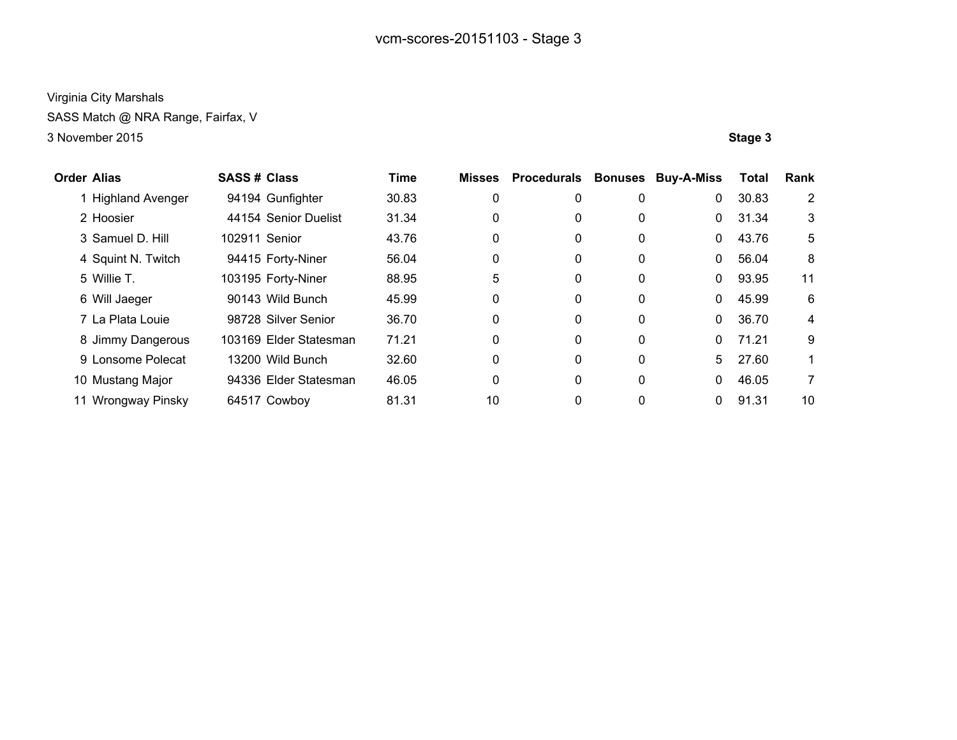SASS Match @ NRA Range, Fairfax, V

| <b>Order Alias</b> |                    | <b>SASS# Class</b> |                        | <b>Time</b> | <b>Misses</b> | <b>Procedurals</b> | <b>Bonuses</b> | <b>Buy-A-Miss</b> | <b>Total</b> | <b>Rank</b>    |
|--------------------|--------------------|--------------------|------------------------|-------------|---------------|--------------------|----------------|-------------------|--------------|----------------|
|                    | 1 Highland Avenger |                    | 94194 Gunfighter       | 30.83       | 0             | 0                  | 0              | 0                 | 30.83        | $\overline{2}$ |
|                    | 2 Hoosier          |                    | 44154 Senior Duelist   | 31.34       | 0             | 0                  | 0              | $\mathbf{0}$      | 31.34        | 3              |
|                    | 3 Samuel D. Hill   | 102911 Senior      |                        | 43.76       | 0             | 0                  | 0              | $\mathbf{0}$      | 43.76        | 5              |
|                    | 4 Squint N. Twitch |                    | 94415 Forty-Niner      | 56.04       | 0             | $\mathbf{0}$       | 0              | 0                 | 56.04        | 8              |
|                    | 5 Willie T.        |                    | 103195 Forty-Niner     | 88.95       | 5             | $\mathbf{0}$       | 0              | 0                 | 93.95        | 11             |
|                    | 6 Will Jaeger      |                    | 90143 Wild Bunch       | 45.99       | $\mathbf{0}$  | $\mathbf{0}$       | 0              | 0                 | 45.99        | 6              |
|                    | 7 La Plata Louie   |                    | 98728 Silver Senior    | 36.70       | 0             | $\mathbf{0}$       | 0              | 0                 | 36.70        | 4              |
|                    | 8 Jimmy Dangerous  |                    | 103169 Elder Statesman | 71.21       | 0             | 0                  | 0              | $\Omega$          | 71.21        | 9              |
|                    | 9 Lonsome Polecat  |                    | 13200 Wild Bunch       | 32.60       | $\mathbf{0}$  | $\mathbf{0}$       | 0              | 5                 | 27.60        | 1.             |
|                    | 10 Mustang Major   |                    | 94336 Elder Statesman  | 46.05       | 0             | $\mathbf{0}$       | 0              | 0                 | 46.05        | 7              |
|                    | 11 Wrongway Pinsky |                    | 64517 Cowboy           | 81.31       | 10            | $\mathbf{0}$       | 0              | 0                 | 91.31        | 10             |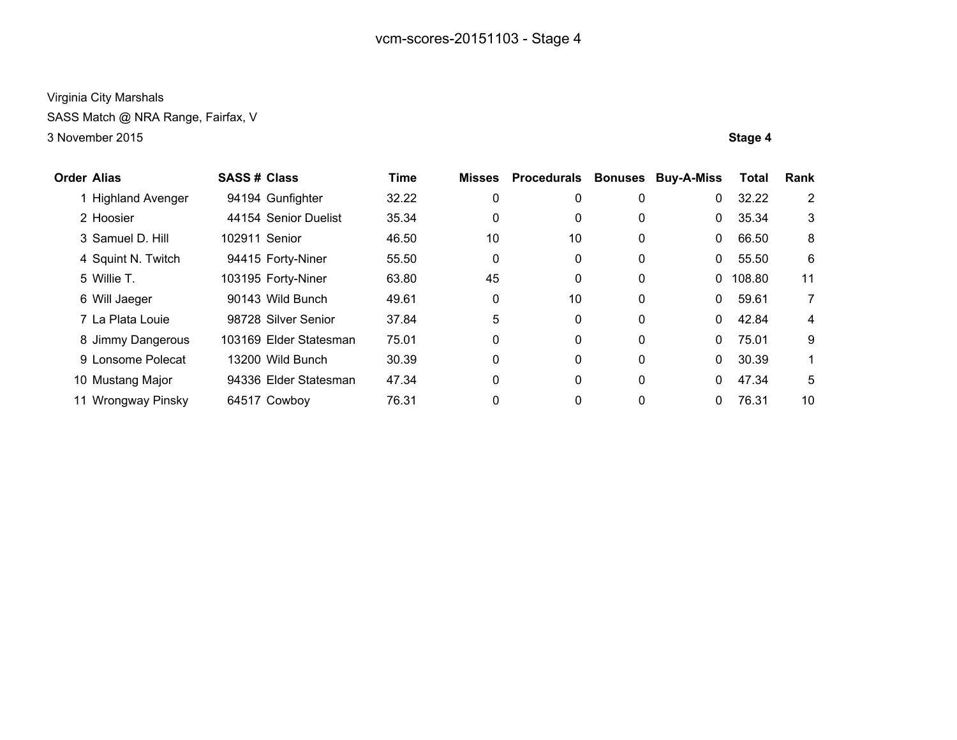SASS Match @ NRA Range, Fairfax, V

| <b>Order Alias</b> |                         | <b>SASS# Class</b> |                        | <b>Time</b> | <b>Misses</b> | <b>Procedurals</b> | <b>Bonuses</b> | <b>Buy-A-Miss</b> | <b>Total</b> | Rank |
|--------------------|-------------------------|--------------------|------------------------|-------------|---------------|--------------------|----------------|-------------------|--------------|------|
|                    | <b>Highland Avenger</b> |                    | 94194 Gunfighter       | 32.22       | 0             | 0                  | 0              | 0                 | 32.22        | 2    |
|                    | 2 Hoosier               |                    | 44154 Senior Duelist   | 35.34       | 0             | 0                  | 0              | 0                 | 35.34        | 3    |
|                    | 3 Samuel D. Hill        | 102911 Senior      |                        | 46.50       | 10            | 10                 | 0              | 0                 | 66.50        | 8    |
|                    | 4 Squint N. Twitch      |                    | 94415 Forty-Niner      | 55.50       | 0             | 0                  | 0              | 0                 | 55.50        | 6    |
|                    | 5 Willie T.             |                    | 103195 Forty-Niner     | 63.80       | 45            | 0                  | 0              | 0.                | 108.80       | 11   |
|                    | 6 Will Jaeger           |                    | 90143 Wild Bunch       | 49.61       | 0             | 10                 | 0              | 0                 | 59.61        | 7    |
|                    | 7 La Plata Louie        |                    | 98728 Silver Senior    | 37.84       | 5             | 0                  | 0              | 0                 | 42.84        | 4    |
|                    | 8 Jimmy Dangerous       |                    | 103169 Elder Statesman | 75.01       | 0             | 0                  | 0              | 0                 | 75.01        | 9    |
|                    | 9 Lonsome Polecat       |                    | 13200 Wild Bunch       | 30.39       | 0             | 0                  | 0              | 0                 | 30.39        |      |
|                    | 10 Mustang Major        |                    | 94336 Elder Statesman  | 47.34       | 0             | 0                  | 0              | 0                 | 47.34        | 5    |
| 11                 | Wrongway Pinsky         |                    | 64517 Cowboy           | 76.31       | 0             | 0                  | 0              | 0                 | 76.31        | 10   |